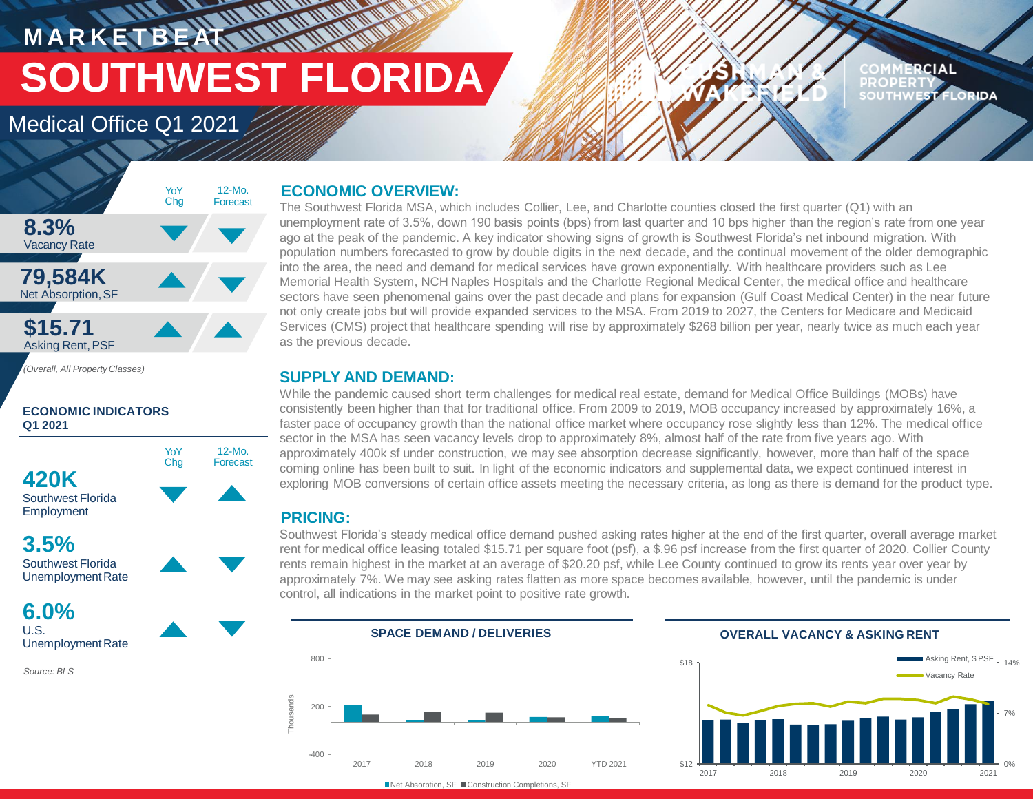# **MARKETBEATTING MORTLAND SOUTHWEST FLORIDA**

# Medical Office Q1 2021

#### COMMERCIAL **PROPERTY** SOUTHWEST FLORIDA



#### **ECONOMIC INDICATORS Q1 2021**



# **3.5%** Southwest Florida



### **6.0%** U.S. Unemployment Rate

*Source: BLS*

### **ECONOMIC OVERVIEW:**

The Southwest Florida MSA, which includes Collier, Lee, and Charlotte counties closed the first quarter (Q1) with an unemployment rate of 3.5%, down 190 basis points (bps) from last quarter and 10 bps higher than the region's rate from one year ago at the peak of the pandemic. A key indicator showing signs of growth is Southwest Florida's net inbound migration. With population numbers forecasted to grow by double digits in the next decade, and the continual movement of the older demographic into the area, the need and demand for medical services have grown exponentially. With healthcare providers such as Lee Memorial Health System, NCH Naples Hospitals and the Charlotte Regional Medical Center, the medical office and healthcare sectors have seen phenomenal gains over the past decade and plans for expansion (Gulf Coast Medical Center) in the near future not only create jobs but will provide expanded services to the MSA. From 2019 to 2027, the Centers for Medicare and Medicaid Services (CMS) project that healthcare spending will rise by approximately \$268 billion per year, nearly twice as much each year as the previous decade.

### **SUPPLY AND DEMAND:**

While the pandemic caused short term challenges for medical real estate, demand for Medical Office Buildings (MOBs) have consistently been higher than that for traditional office. From 2009 to 2019, MOB occupancy increased by approximately 16%, a faster pace of occupancy growth than the national office market where occupancy rose slightly less than 12%. The medical office sector in the MSA has seen vacancy levels drop to approximately 8%, almost half of the rate from five years ago. With approximately 400k sf under construction, we may see absorption decrease significantly, however, more than half of the space coming online has been built to suit. In light of the economic indicators and supplemental data, we expect continued interest in exploring MOB conversions of certain office assets meeting the necessary criteria, as long as there is demand for the product type.

## **PRICING:**

Southwest Florida's steady medical office demand pushed asking rates higher at the end of the first quarter, overall average market rent for medical office leasing totaled \$15.71 per square foot (psf), a \$.96 psf increase from the first quarter of 2020. Collier County rents remain highest in the market at an average of \$20.20 psf, while Lee County continued to grow its rents year over year by approximately 7%. We may see asking rates flatten as more space becomes available, however, until the pandemic is under control, all indications in the market point to positive rate growth.



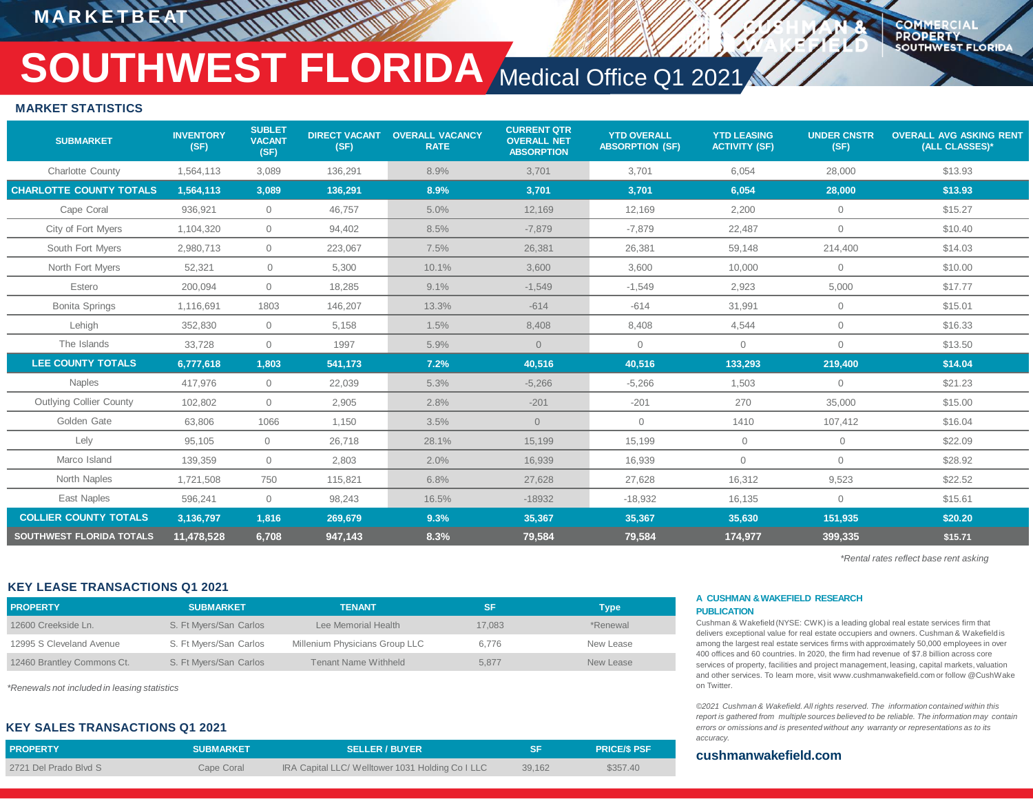**MARKETBEA** 

**COMMERCIA PROPERTY SOUTHWEST FLORIDA** 

# **SOUTHWEST FLORIDA** Medical Office Q1 2021

#### **MARKET STATISTICS**

| <b>SUBMARKET</b>                | <b>INVENTORY</b><br>(SF) | <b>SUBLET</b><br><b>VACANT</b><br>(SF) | <b>DIRECT VACANT</b><br>(SF) | <b>OVERALL VACANCY</b><br><b>RATE</b> | <b>CURRENT QTR</b><br><b>OVERALL NET</b><br><b>ABSORPTION</b> | <b>YTD OVERALL</b><br><b>ABSORPTION (SF)</b> | <b>YTD LEASING</b><br><b>ACTIVITY (SF)</b> | <b>UNDER CNSTR</b><br>(SF) | <b>OVERALL AVG ASKING RENT</b><br>(ALL CLASSES)* |
|---------------------------------|--------------------------|----------------------------------------|------------------------------|---------------------------------------|---------------------------------------------------------------|----------------------------------------------|--------------------------------------------|----------------------------|--------------------------------------------------|
| <b>Charlotte County</b>         | 1,564,113                | 3,089                                  | 136,291                      | 8.9%                                  | 3,701                                                         | 3,701                                        | 6,054                                      | 28,000                     | \$13.93                                          |
| <b>CHARLOTTE COUNTY TOTALS</b>  | 1,564,113                | 3,089                                  | 136.291                      | 8.9%                                  | 3,701                                                         | 3,701                                        | 6.054                                      | 28,000                     | \$13.93                                          |
| Cape Coral                      | 936,921                  | $\Omega$                               | 46,757                       | 5.0%                                  | 12,169                                                        | 12,169                                       | 2,200                                      | $\Omega$                   | \$15.27                                          |
| City of Fort Myers              | 1,104,320                | $\overline{0}$                         | 94,402                       | 8.5%                                  | $-7,879$                                                      | $-7,879$                                     | 22,487                                     | $\mathbf{0}$               | \$10.40                                          |
| South Fort Myers                | 2,980,713                | $\overline{0}$                         | 223,067                      | 7.5%                                  | 26,381                                                        | 26,381                                       | 59.148                                     | 214,400                    | \$14.03                                          |
| North Fort Myers                | 52,321                   | $\circ$                                | 5,300                        | 10.1%                                 | 3,600                                                         | 3,600                                        | 10,000                                     | $\mathbf{0}$               | \$10.00                                          |
| Estero                          | 200,094                  | $\overline{0}$                         | 18,285                       | 9.1%                                  | $-1,549$                                                      | $-1,549$                                     | 2,923                                      | 5,000                      | \$17.77                                          |
| <b>Bonita Springs</b>           | 1.116.691                | 1803                                   | 146,207                      | 13.3%                                 | $-614$                                                        | $-614$                                       | 31,991                                     | $\mathbf{0}$               | \$15.01                                          |
| Lehigh                          | 352,830                  | $\overline{0}$                         | 5,158                        | 1.5%                                  | 8,408                                                         | 8,408                                        | 4,544                                      | $\circ$                    | \$16.33                                          |
| The Islands                     | 33,728                   | $\overline{0}$                         | 1997                         | 5.9%                                  | $\overline{0}$                                                | $\circ$                                      | $\overline{0}$                             | $\Omega$                   | \$13.50                                          |
| <b>LEE COUNTY TOTALS</b>        | 6,777,618                | 1,803                                  | 541,173                      | 7.2%                                  | 40,516                                                        | 40,516                                       | 133,293                                    | 219,400                    | \$14.04                                          |
| <b>Naples</b>                   | 417.976                  | $\overline{0}$                         | 22.039                       | 5.3%                                  | $-5.266$                                                      | $-5,266$                                     | 1,503                                      | $\mathbf{0}$               | \$21.23                                          |
| <b>Outlying Collier County</b>  | 102,802                  | $\overline{0}$                         | 2,905                        | 2.8%                                  | $-201$                                                        | $-201$                                       | 270                                        | 35,000                     | \$15.00                                          |
| Golden Gate                     | 63,806                   | 1066                                   | 1,150                        | 3.5%                                  | $\Omega$                                                      | $\mathbf{0}$                                 | 1410                                       | 107,412                    | \$16.04                                          |
| Lely                            | 95.105                   | $\mathbf{0}$                           | 26,718                       | 28.1%                                 | 15.199                                                        | 15.199                                       | $\mathbf{0}$                               | $\overline{0}$             | \$22.09                                          |
| Marco Island                    | 139,359                  | $\overline{0}$                         | 2,803                        | 2.0%                                  | 16,939                                                        | 16,939                                       | $\overline{0}$                             | $\circ$                    | \$28.92                                          |
| North Naples                    | 1,721,508                | 750                                    | 115,821                      | 6.8%                                  | 27,628                                                        | 27,628                                       | 16,312                                     | 9,523                      | \$22.52                                          |
| East Naples                     | 596,241                  | $\overline{0}$                         | 98,243                       | 16.5%                                 | $-18932$                                                      | $-18,932$                                    | 16,135                                     | $\Omega$                   | \$15.61                                          |
| <b>COLLIER COUNTY TOTALS</b>    | 3,136,797                | 1,816                                  | 269,679                      | 9.3%                                  | 35,367                                                        | 35,367                                       | 35,630                                     | 151,935                    | \$20.20                                          |
| <b>SOUTHWEST FLORIDA TOTALS</b> | 11,478,528               | 6,708                                  | 947,143                      | 8.3%                                  | 79,584                                                        | 79,584                                       | 174,977                                    | 399,335                    | \$15.71                                          |

*\*Rental rates reflect base rent asking*

#### **KEY LEASE TRANSACTIONS Q1 2021**

| <b>PROPERTY</b>            | <b>SUBMARKET</b>       | <b>TENANT</b>                  | 'SF    | [ype]     |
|----------------------------|------------------------|--------------------------------|--------|-----------|
| 12600 Creekside Ln.        | S. Ft Myers/San Carlos | Lee Memorial Health            | 17.083 | *Renewal  |
| 12995 S Cleveland Avenue   | S. Ft Myers/San Carlos | Millenium Physicians Group LLC | 6.776  | New Lease |
| 12460 Brantley Commons Ct. | S. Ft Myers/San Carlos | Tenant Name Withheld           | 5.877  | New Lease |

*\*Renewals not included in leasing statistics*

#### **KEY SALES TRANSACTIONS Q1 2021**

| <b>PROPERTY</b>       | <b>SUBMARKET</b> | <b>SELLER / BUYER</b>                            | <b>SF</b> | <b>PRICE/S PSF</b> |
|-----------------------|------------------|--------------------------------------------------|-----------|--------------------|
| 2721 Del Prado Blvd S | Cape Coral       | IRA Capital LLC/ Welltower 1031 Holding Co I LLC | 39,162    | \$357.40           |

#### **A CUSHMAN &WAKEFIELD RESEARCH PUBLICATION**

Cushman & Wakefield (NYSE: CWK) is a leading global real estate services firm that delivers exceptional value for real estate occupiers and owners. Cushman & Wakefield is among the largest real estate services firms with approximately 50,000 employees in over 400 offices and 60 countries. In 2020, the firm had revenue of \$7.8 billion across core services of property, facilities and project management, leasing, capital markets, valuation and other services. To learn more, visit www.cushmanwakefield.com or follow @CushWake on Twitter

*©2021 Cushman & Wakefield. All rights reserved. The information contained within this report is gathered from multiple sources believed to be reliable. The information may contain errors or omissions and is presented without any warranty or representations as to its accuracy.*

#### **cushmanwakefield.com**